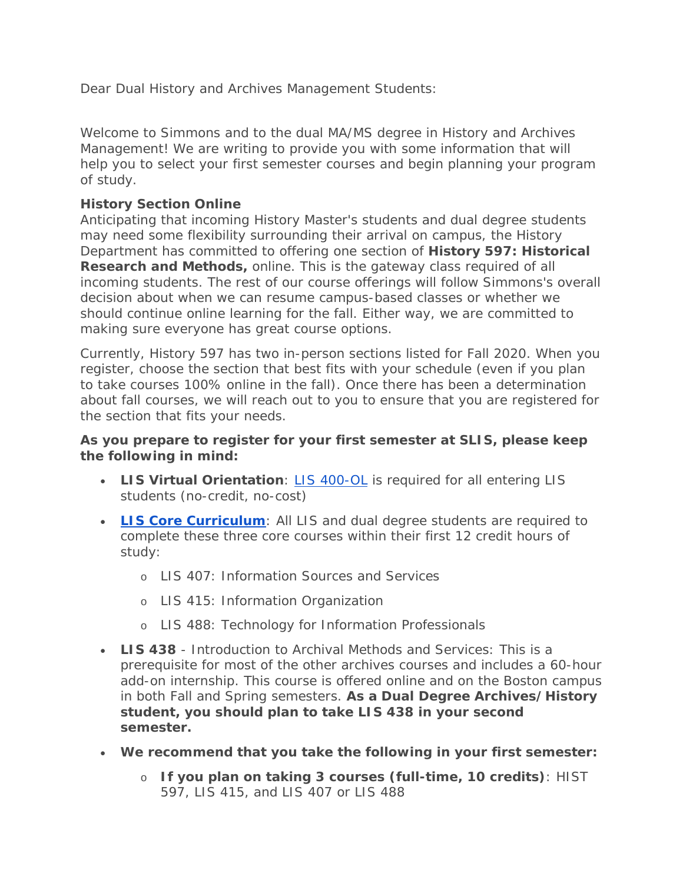Dear Dual History and Archives Management Students:

Welcome to Simmons and to the dual MA/MS degree in History and Archives Management! We are writing to provide you with some information that will help you to select your first semester courses and begin planning your program of study.

## **History Section Online**

Anticipating that incoming History Master's students and dual degree students may need some flexibility surrounding their arrival on campus, the History Department has committed to offering one section of **History 597: Historical Research and Methods,** online. This is the gateway class required of all incoming students. The rest of our course offerings will follow Simmons's overall decision about when we can resume campus-based classes or whether we should continue online learning for the fall. Either way, we are committed to making sure everyone has great course options.

Currently, History 597 has two in-person sections listed for Fall 2020. When you register, choose the section that best fits with your schedule (even if you plan to take courses 100% online in the fall). Once there has been a determination about fall courses, we will reach out to you to ensure that you are registered for the section that fits your needs.

## **As you prepare to register for your first semester at SLIS, please keep the following in mind:**

- **LIS Virtual Orientation**: [LIS 400-OL](https://internal.simmons.edu/students/academics/slis/incoming/orientation) is required for all entering LIS students (no-credit, no-cost)
- **[LIS Core Curriculum](https://internal.simmons.edu/students/academics/slis/current/courses/core-curriculum)**: All LIS and dual degree students are required to complete these three core courses within their first 12 credit hours of study:
	- o LIS 407: Information Sources and Services
	- o LIS 415: Information Organization
	- o LIS 488: Technology for Information Professionals
- **LIS 438** Introduction to Archival Methods and Services: This is a prerequisite for most of the other archives courses and includes a 60-hour add-on internship. This course is offered online and on the Boston campus in both Fall and Spring semesters. **As a Dual Degree Archives/History student, you should plan to take LIS 438 in your second semester.**
- **We recommend that you take the following in your first semester:**
	- o **If you plan on taking 3 courses (full-time, 10 credits)**: HIST 597, LIS 415, and LIS 407 or LIS 488